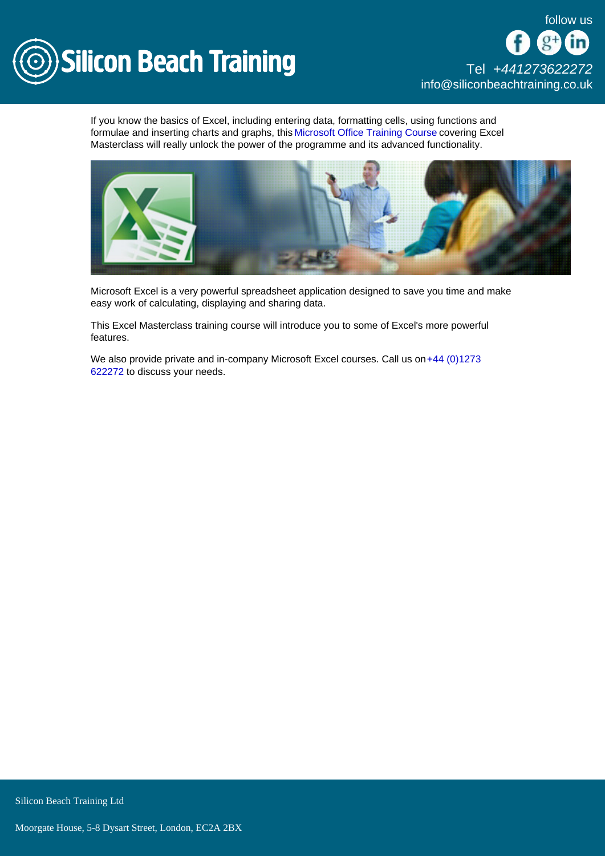

If you know the basics of Excel, including entering data, formatting cells, using functions and formulae and inserting charts and graphs, this [Microsoft Office Training Course](/microsoft-office-training) covering Excel Masterclass will really unlock the power of the programme and its advanced functionality.

Microsoft Excel is a very powerful spreadsheet application designed to save you time and make easy work of calculating, displaying and sharing data.

This Excel Masterclass training course will introduce you to some of Excel's more powerful features.

We also provide private and in-company Microsoft Excel courses. Call us on +44 (0)1273 [622272](tel:441273622272) to discuss your needs.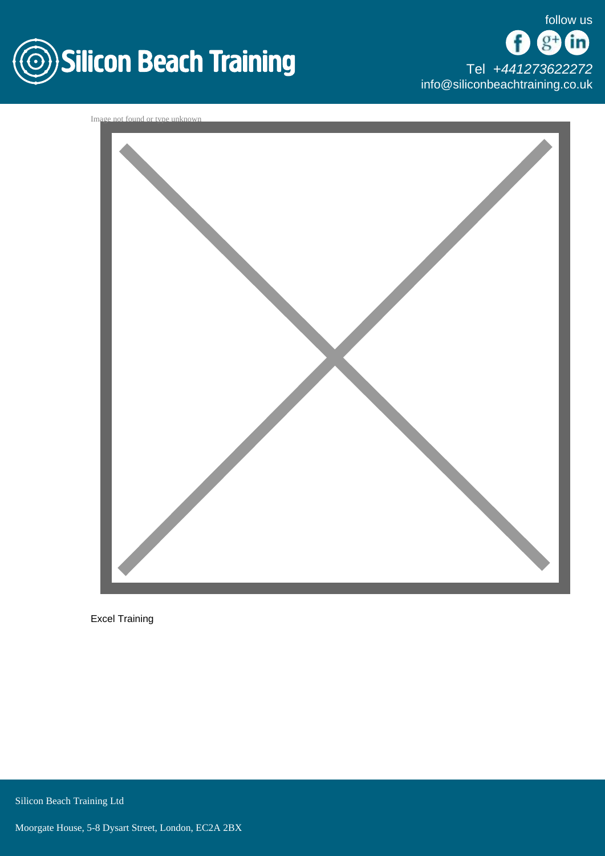

[Tel +44](tel:+441273622272)1273622272 [info@siliconbeachtraining.co.uk](/var/www/html/siliconbeachtraining.co.uk/public/mailTo:info@siliconbeachtraining.co.uk)



Excel Training

Silicon Beach Training Ltd

Moorgate House, 5-8 Dysart Street, London, EC2A 2BX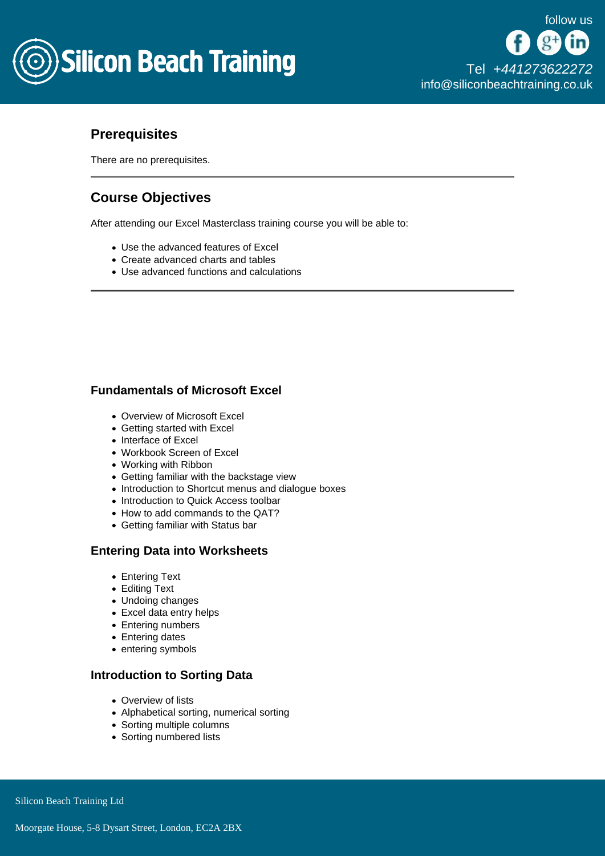

# **Prerequisites**

There are no prerequisites.

# Course Objectives

After attending our Excel Masterclass training course you will be able to:

- Use the advanced features of Excel
- Create advanced charts and tables
- Use advanced functions and calculations

## Fundamentals of Microsoft Excel

- Overview of Microsoft Excel
- Getting started with Excel
- Interface of Excel
- Workbook Screen of Excel
- Working with Ribbon
- Getting familiar with the backstage view
- Introduction to Shortcut menus and dialogue boxes
- Introduction to Quick Access toolbar
- How to add commands to the QAT?
- Getting familiar with Status bar

## Entering Data into Worksheets

- Entering Text
- Editing Text
- Undoing changes
- Excel data entry helps
- Entering numbers
- Entering dates
- entering symbols

#### Introduction to Sorting Data

- Overview of lists
- Alphabetical sorting, numerical sorting
- Sorting multiple columns
- Sorting numbered lists

Silicon Beach Training Ltd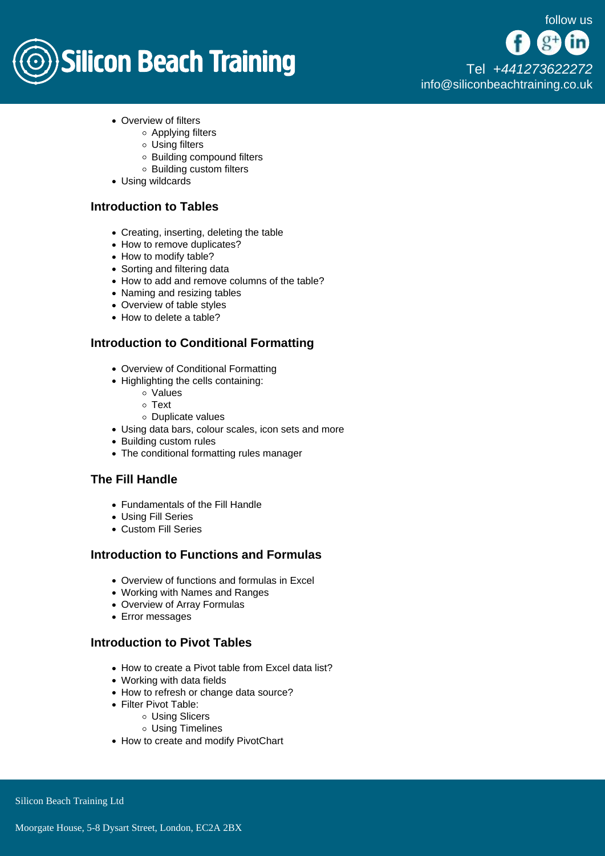# **Silicon Beach Training**

[Tel +44](tel:+441273622272)1273622272 [info@siliconbeachtraining.co.uk](/var/www/html/siliconbeachtraining.co.uk/public/mailTo:info@siliconbeachtraining.co.uk)

- Overview of filters
	- Applying filters
	- Using filters
	- Building compound filters
	- Building custom filters
- Using wildcards

## Introduction to Tables

- Creating, inserting, deleting the table
- How to remove duplicates?
- How to modify table?
- Sorting and filtering data
- How to add and remove columns of the table?
- Naming and resizing tables
- Overview of table styles
- How to delete a table?

## Introduction to Conditional Formatting

- Overview of Conditional Formatting
- Highlighting the cells containing:
	- Values
	- Text
	- Duplicate values
- Using data bars, colour scales, icon sets and more
- Building custom rules
- The conditional formatting rules manager

## The Fill Handle

- Fundamentals of the Fill Handle
- Using Fill Series
- Custom Fill Series

#### Introduction to Functions and Formulas

- Overview of functions and formulas in Excel
- Working with Names and Ranges
- Overview of Array Formulas
- Error messages

#### Introduction to Pivot Tables

- How to create a Pivot table from Excel data list?
- Working with data fields
- How to refresh or change data source?
- Filter Pivot Table:
	- Using Slicers
	- Using Timelines
- How to create and modify PivotChart

Silicon Beach Training Ltd